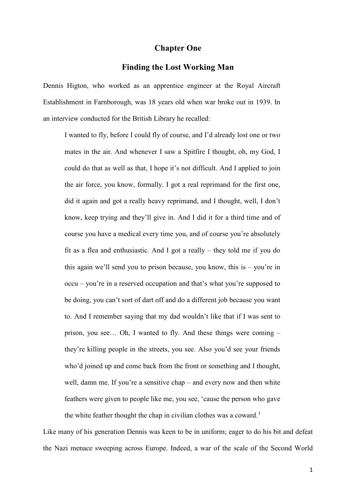## **Chapter One**

# **Finding the Lost Working Man**

Dennis Higton, who worked as an apprentice engineer at the Royal Aircraft Establishment in Farnborough, was 18 years old when war broke out in 1939. In an interview conducted for the British Library he recalled:

I wanted to fly, before I could fly of course, and I'd already lost one or two mates in the air. And whenever I saw a Spitfire I thought, oh, my God, I could do that as well as that, I hope it's not difficult. And I applied to join the air force, you know, formally. I got a real reprimand for the first one, did it again and got a really heavy reprimand, and I thought, well, I don't know, keep trying and they'll give in. And I did it for a third time and of course you have a medical every time you, and of course you're absolutely fit as a flea and enthusiastic. And I got a really – they told me if you do this again we'll send you to prison because, you know, this is  $-$  you're in occu – you're in a reserved occupation and that's what you're supposed to be doing, you can't sort of dart off and do a different job because you want to. And I remember saying that my dad wouldn't like that if I was sent to prison, you see… Oh, I wanted to fly. And these things were coming – they're killing people in the streets, you see. Also you'd see your friends who'd joined up and come back from the front or something and I thought, well, damn me. If you're a sensitive chap – and every now and then white feathers were given to people like me, you see, 'cause the person who gave the white feather thought the chap in civilian clothes was a coward.<sup>[1](#page-3-0)</sup>

Like many of his generation Dennis was keen to be in uniform; eager to do his bit and defeat the Nazi menace sweeping across Europe. Indeed, a war of the scale of the Second World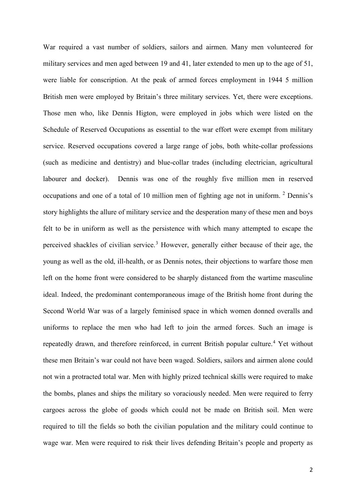War required a vast number of soldiers, sailors and airmen. Many men volunteered for military services and men aged between 19 and 41, later extended to men up to the age of 51, were liable for conscription. At the peak of armed forces employment in 1944 5 million British men were employed by Britain's three military services. Yet, there were exceptions. Those men who, like Dennis Higton, were employed in jobs which were listed on the Schedule of Reserved Occupations as essential to the war effort were exempt from military service. Reserved occupations covered a large range of jobs, both white-collar professions (such as medicine and dentistry) and blue-collar trades (including electrician, agricultural labourer and docker). Dennis was one of the roughly five million men in reserved occupations and one of a total of 10 million men of fighting age not in uniform. <sup>[2](#page-4-0)</sup> Dennis's story highlights the allure of military service and the desperation many of these men and boys felt to be in uniform as well as the persistence with which many attempted to escape the perceived shackles of civilian service.[3](#page-4-1) However, generally either because of their age, the young as well as the old, ill-health, or as Dennis notes, their objections to warfare those men left on the home front were considered to be sharply distanced from the wartime masculine ideal. Indeed, the predominant contemporaneous image of the British home front during the Second World War was of a largely feminised space in which women donned overalls and uniforms to replace the men who had left to join the armed forces. Such an image is repeatedly drawn, and therefore reinforced, in current British popular culture.<sup>[4](#page-4-2)</sup> Yet without these men Britain's war could not have been waged. Soldiers, sailors and airmen alone could not win a protracted total war. Men with highly prized technical skills were required to make the bombs, planes and ships the military so voraciously needed. Men were required to ferry cargoes across the globe of goods which could not be made on British soil. Men were required to till the fields so both the civilian population and the military could continue to wage war. Men were required to risk their lives defending Britain's people and property as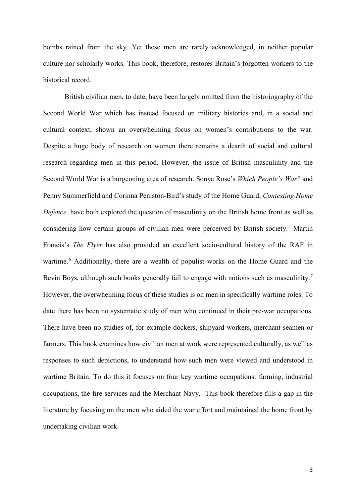bombs rained from the sky. Yet these men are rarely acknowledged, in neither popular culture nor scholarly works. This book, therefore, restores Britain's forgotten workers to the historical record.

British civilian men, to date, have been largely omitted from the historiography of the Second World War which has instead focused on military histories and, in a social and cultural context, shown an overwhelming focus on women's contributions to the war. Despite a huge body of research on women there remains a dearth of social and cultural research regarding men in this period. However, the issue of British masculinity and the Second World War is a burgeoning area of research. Sonya Rose's *Which People's War?* and Penny Summerfield and Corinna Peniston-Bird's study of the Home Guard, *Contesting Home Defence,* have both explored the question of masculinity on the British home front as well as considering how certain groups of civilian men were perceived by British society.[5](#page-5-0) Martin Francis's *The Flyer* has also provided an excellent socio-cultural history of the RAF in wartime.<sup>[6](#page-5-1)</sup> Additionally, there are a wealth of populist works on the Home Guard and the Bevin Boys, although such books generally fail to engage with notions such as masculinity.<sup>[7](#page-5-2)</sup> However, the overwhelming focus of these studies is on men in specifically wartime roles. To date there has been no systematic study of men who continued in their pre-war occupations. There have been no studies of, for example dockers, shipyard workers, merchant seamen or farmers. This book examines how civilian men at work were represented culturally, as well as responses to such depictions, to understand how such men were viewed and understood in wartime Britain. To do this it focuses on four key wartime occupations: farming, industrial occupations, the fire services and the Merchant Navy. This book therefore fills a gap in the literature by focusing on the men who aided the war effort and maintained the home front by undertaking civilian work.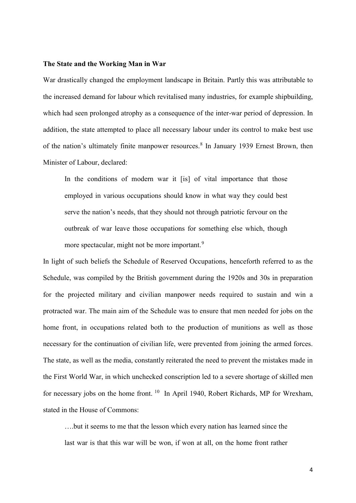#### **The State and the Working Man in War**

War drastically changed the employment landscape in Britain. Partly this was attributable to the increased demand for labour which revitalised many industries, for example shipbuilding, which had seen prolonged atrophy as a consequence of the inter-war period of depression. In addition, the state attempted to place all necessary labour under its control to make best use of the nation's ultimately finite manpower resources. [8](#page-6-0) In January 1939 Ernest Brown, then Minister of Labour, declared:

In the conditions of modern war it [is] of vital importance that those employed in various occupations should know in what way they could best serve the nation's needs, that they should not through patriotic fervour on the outbreak of war leave those occupations for something else which, though more spectacular, might not be more important.<sup>[9](#page-6-1)</sup>

<span id="page-3-0"></span>In light of such beliefs the Schedule of Reserved Occupations, henceforth referred to as the Schedule, was compiled by the British government during the 1920s and 30s in preparation for the projected military and civilian manpower needs required to sustain and win a protracted war. The main aim of the Schedule was to ensure that men needed for jobs on the home front, in occupations related both to the production of munitions as well as those necessary for the continuation of civilian life, were prevented from joining the armed forces. The state, as well as the media, constantly reiterated the need to prevent the mistakes made in the First World War, in which unchecked conscription led to a severe shortage of skilled men for necessary jobs on the home front. <sup>10</sup> In April 1940, Robert Richards, MP for Wrexham, stated in the House of Commons:

….but it seems to me that the lesson which every nation has learned since the last war is that this war will be won, if won at all, on the home front rather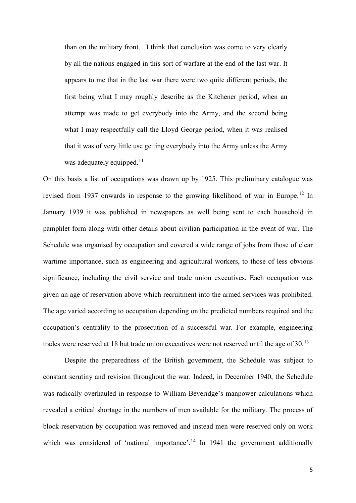than on the military front... I think that conclusion was come to very clearly by all the nations engaged in this sort of warfare at the end of the last war. It appears to me that in the last war there were two quite different periods, the first being what I may roughly describe as the Kitchener period, when an attempt was made to get everybody into the Army, and the second being what I may respectfully call the Lloyd George period, when it was realised that it was of very little use getting everybody into the Army unless the Army was adequately equipped. $11$ 

On this basis a list of occupations was drawn up by 1925. This preliminary catalogue was revised from 1937 onwards in response to the growing likelihood of war in Europe.<sup>[12](#page-7-1)</sup> In January 1939 it was published in newspapers as well being sent to each household in pamphlet form along with other details about civilian participation in the event of war. The Schedule was organised by occupation and covered a wide range of jobs from those of clear wartime importance, such as engineering and agricultural workers, to those of less obvious significance, including the civil service and trade union executives. Each occupation was given an age of reservation above which recruitment into the armed services was prohibited. The age varied according to occupation depending on the predicted numbers required and the occupation's centrality to the prosecution of a successful war. For example, engineering trades were reserved at 18 but trade union executives were not reserved until the age of 30.<sup>13</sup>

<span id="page-4-2"></span><span id="page-4-1"></span><span id="page-4-0"></span>Despite the preparedness of the British government, the Schedule was subject to constant scrutiny and revision throughout the war. Indeed, in December 1940, the Schedule was radically overhauled in response to William Beveridge's manpower calculations which revealed a critical shortage in the numbers of men available for the military. The process of block reservation by occupation was removed and instead men were reserved only on work which was considered of 'national importance'.<sup>[14](#page-7-3)</sup> In 1941 the government additionally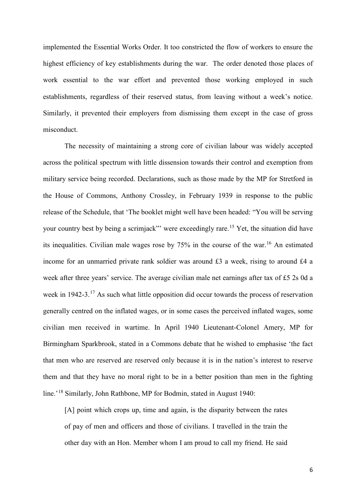<span id="page-5-2"></span><span id="page-5-1"></span>implemented the Essential Works Order. It too constricted the flow of workers to ensure the highest efficiency of key establishments during the war. The order denoted those places of work essential to the war effort and prevented those working employed in such establishments, regardless of their reserved status, from leaving without a week's notice. Similarly, it prevented their employers from dismissing them except in the case of gross misconduct.

The necessity of maintaining a strong core of civilian labour was widely accepted across the political spectrum with little dissension towards their control and exemption from military service being recorded. Declarations, such as those made by the MP for Stretford in the House of Commons, Anthony Crossley, in February 1939 in response to the public release of the Schedule, that 'The booklet might well have been headed: "You will be serving your country best by being a scrimjack"' were exceedingly rare.[15](#page-8-0) Yet, the situation did have its inequalities. Civilian male wages rose by 75% in the course of the war.[16](#page-8-1) An estimated income for an unmarried private rank soldier was around £3 a week, rising to around £4 a week after three years' service. The average civilian male net earnings after tax of £5 2s 0d a week in 1942-3.<sup>[17](#page-8-2)</sup> As such what little opposition did occur towards the process of reservation generally centred on the inflated wages, or in some cases the perceived inflated wages, some civilian men received in wartime. In April 1940 Lieutenant-Colonel Amery, MP for Birmingham Sparkbrook, stated in a Commons debate that he wished to emphasise 'the fact that men who are reserved are reserved only because it is in the nation's interest to reserve them and that they have no moral right to be in a better position than men in the fighting line.<sup>'18</sup> Similarly, John Rathbone, MP for Bodmin, stated in August 1940:

<span id="page-5-0"></span>[A] point which crops up, time and again, is the disparity between the rates of pay of men and officers and those of civilians. I travelled in the train the other day with an Hon. Member whom I am proud to call my friend. He said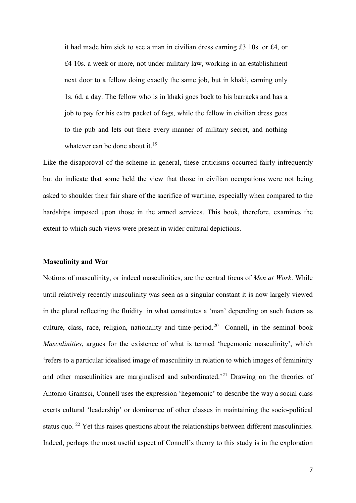it had made him sick to see a man in civilian dress earning £3 10s. or £4, or £4 10s. a week or more, not under military law, working in an establishment next door to a fellow doing exactly the same job, but in khaki, earning only 1s. 6d. a day. The fellow who is in khaki goes back to his barracks and has a job to pay for his extra packet of fags, while the fellow in civilian dress goes to the pub and lets out there every manner of military secret, and nothing whatever can be done about it.<sup>[19](#page-9-0)</sup>

<span id="page-6-2"></span><span id="page-6-1"></span><span id="page-6-0"></span>Like the disapproval of the scheme in general, these criticisms occurred fairly infrequently but do indicate that some held the view that those in civilian occupations were not being asked to shoulder their fair share of the sacrifice of wartime, especially when compared to the hardships imposed upon those in the armed services. This book, therefore, examines the extent to which such views were present in wider cultural depictions.

### **Masculinity and War**

Notions of masculinity, or indeed masculinities, are the central focus of *Men at Work*. While until relatively recently masculinity was seen as a singular constant it is now largely viewed in the plural reflecting the fluidity in what constitutes a 'man' depending on such factors as culture, class, race, religion, nationality and time-period.<sup>20</sup> Connell, in the seminal book *Masculinities*, argues for the existence of what is termed 'hegemonic masculinity', which 'refers to a particular idealised image of masculinity in relation to which images of femininity and other masculinities are marginalised and subordinated.<sup>[21](#page-9-2)</sup> Drawing on the theories of Antonio Gramsci, Connell uses the expression 'hegemonic' to describe the way a social class exerts cultural 'leadership' or dominance of other classes in maintaining the socio-political status quo. <sup>[22](#page-9-3)</sup> Yet this raises questions about the relationships between different masculinities. Indeed, perhaps the most useful aspect of Connell's theory to this study is in the exploration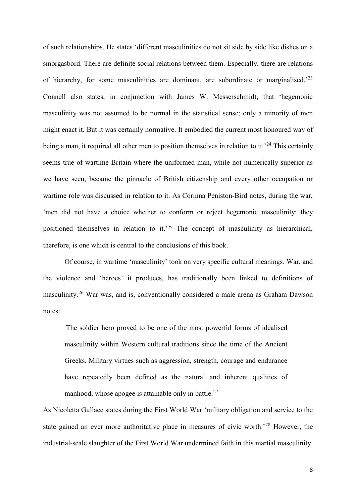of such relationships. He states 'different masculinities do not sit side by side like dishes on a smorgasbord. There are definite social relations between them. Especially, there are relations of hierarchy, for some masculinities are dominant, are subordinate or marginalised.'[23](#page-10-0) Connell also states, in conjunction with James W. Messerschmidt, that 'hegemonic masculinity was not assumed to be normal in the statistical sense; only a minority of men might enact it. But it was certainly normative. It embodied the current most honoured way of being a man, it required all other men to position themselves in relation to it.<sup>[24](#page-10-1)</sup> This certainly seems true of wartime Britain where the uniformed man, while not numerically superior as we have seen, became the pinnacle of British citizenship and every other occupation or wartime role was discussed in relation to it. As Corinna Peniston-Bird notes, during the war, 'men did not have a choice whether to conform or reject hegemonic masculinity: they positioned themselves in relation to it.'[25](#page-10-2) The concept of masculinity as hierarchical, therefore, is one which is central to the conclusions of this book.

<span id="page-7-3"></span><span id="page-7-2"></span><span id="page-7-1"></span><span id="page-7-0"></span>Of course, in wartime 'masculinity' took on very specific cultural meanings. War, and the violence and 'heroes' it produces, has traditionally been linked to definitions of masculinity.[26](#page-10-3) War was, and is, conventionally considered a male arena as Graham Dawson notes:

The soldier hero proved to be one of the most powerful forms of idealised masculinity within Western cultural traditions since the time of the Ancient Greeks. Military virtues such as aggression, strength, courage and endurance have repeatedly been defined as the natural and inherent qualities of manhood, whose apogee is attainable only in battle.<sup>[27](#page-10-4)</sup>

As Nicoletta Gullace states during the First World War 'military obligation and service to the state gained an ever more authoritative place in measures of civic worth.'[28](#page-10-5) However, the industrial-scale slaughter of the First World War undermined faith in this martial masculinity.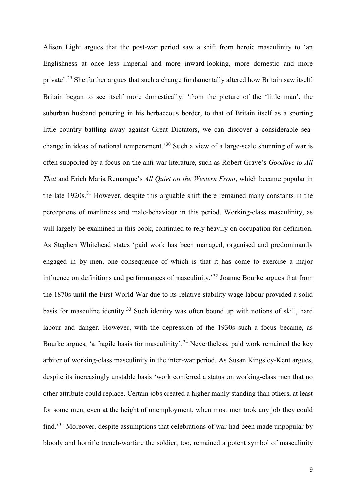<span id="page-8-3"></span><span id="page-8-2"></span><span id="page-8-1"></span><span id="page-8-0"></span>Alison Light argues that the post-war period saw a shift from heroic masculinity to 'an Englishness at once less imperial and more inward-looking, more domestic and more private'.[29](#page-11-0) She further argues that such a change fundamentally altered how Britain saw itself. Britain began to see itself more domestically: 'from the picture of the 'little man', the suburban husband pottering in his herbaceous border, to that of Britain itself as a sporting little country battling away against Great Dictators, we can discover a considerable seachange in ideas of national temperament.'[30](#page-11-1) Such a view of a large-scale shunning of war is often supported by a focus on the anti-war literature, such as Robert Grave's *Goodbye to All That* and Erich Maria Remarque's *All Quiet on the Western Front*, which became popular in the late  $1920s$ <sup>[31](#page-11-2)</sup> However, despite this arguable shift there remained many constants in the perceptions of manliness and male-behaviour in this period. Working-class masculinity, as will largely be examined in this book, continued to rely heavily on occupation for definition. As Stephen Whitehead states 'paid work has been managed, organised and predominantly engaged in by men, one consequence of which is that it has come to exercise a major influence on definitions and performances of masculinity.'[32](#page-11-3) Joanne Bourke argues that from the 1870s until the First World War due to its relative stability wage labour provided a solid basis for masculine identity.<sup>[33](#page-11-4)</sup> Such identity was often bound up with notions of skill, hard labour and danger. However, with the depression of the 1930s such a focus became, as Bourke argues, 'a fragile basis for masculinity'.<sup>[34](#page-11-5)</sup> Nevertheless, paid work remained the key arbiter of working-class masculinity in the inter-war period. As Susan Kingsley-Kent argues, despite its increasingly unstable basis 'work conferred a status on working-class men that no other attribute could replace. Certain jobs created a higher manly standing than others, at least for some men, even at the height of unemployment, when most men took any job they could find.'[35](#page-11-6) Moreover, despite assumptions that celebrations of war had been made unpopular by bloody and horrific trench-warfare the soldier, too, remained a potent symbol of masculinity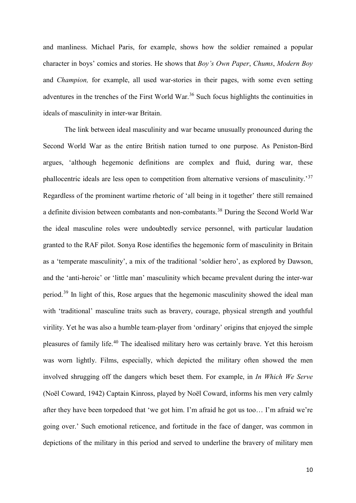and manliness. Michael Paris, for example, shows how the soldier remained a popular character in boys' comics and stories. He shows that *Boy's Own Paper*, *Chums*, *Modern Boy* and *Champion,* for example, all used war-stories in their pages, with some even setting adventures in the trenches of the First World War.<sup>[36](#page-12-0)</sup> Such focus highlights the continuities in ideals of masculinity in inter-war Britain.

<span id="page-9-3"></span><span id="page-9-2"></span><span id="page-9-1"></span><span id="page-9-0"></span>The link between ideal masculinity and war became unusually pronounced during the Second World War as the entire British nation turned to one purpose. As Peniston-Bird argues, 'although hegemonic definitions are complex and fluid, during war, these phallocentric ideals are less open to competition from alternative versions of masculinity.'[37](#page-12-1) Regardless of the prominent wartime rhetoric of 'all being in it together' there still remained a definite division between combatants and non-combatants.[38](#page-12-2) During the Second World War the ideal masculine roles were undoubtedly service personnel, with particular laudation granted to the RAF pilot. Sonya Rose identifies the hegemonic form of masculinity in Britain as a 'temperate masculinity', a mix of the traditional 'soldier hero', as explored by Dawson, and the 'anti-heroic' or 'little man' masculinity which became prevalent during the inter-war period.[39](#page-12-3) In light of this, Rose argues that the hegemonic masculinity showed the ideal man with 'traditional' masculine traits such as bravery, courage, physical strength and youthful virility. Yet he was also a humble team-player from 'ordinary' origins that enjoyed the simple pleasures of family life.[40](#page-12-4) The idealised military hero was certainly brave. Yet this heroism was worn lightly. Films, especially, which depicted the military often showed the men involved shrugging off the dangers which beset them. For example, in *In Which We Serve*  (Noël Coward, 1942) Captain Kinross, played by Noël Coward, informs his men very calmly after they have been torpedoed that 'we got him. I'm afraid he got us too… I'm afraid we're going over.' Such emotional reticence, and fortitude in the face of danger, was common in depictions of the military in this period and served to underline the bravery of military men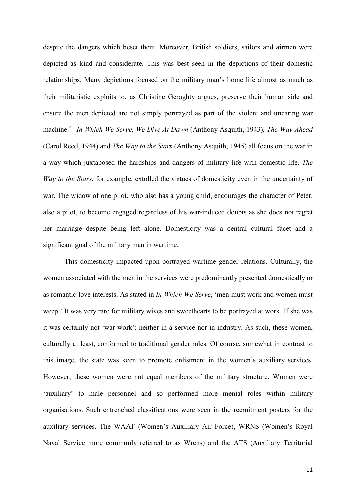<span id="page-10-4"></span><span id="page-10-3"></span><span id="page-10-2"></span><span id="page-10-1"></span><span id="page-10-0"></span>despite the dangers which beset them. Moreover, British soldiers, sailors and airmen were depicted as kind and considerate. This was best seen in the depictions of their domestic relationships. Many depictions focused on the military man's home life almost as much as their militaristic exploits to, as Christine Geraghty argues, preserve their human side and ensure the men depicted are not simply portrayed as part of the violent and uncaring war machine. [41](#page-13-0) *In Which We Serve*, *We Dive At Dawn* (Anthony Asquith, 1943), *The Way Ahead* (Carol Reed, 1944) and *The Way to the Stars* (Anthony Asquith, 1945) all focus on the war in a way which juxtaposed the hardships and dangers of military life with domestic life. *The Way to the Stars*, for example, extolled the virtues of domesticity even in the uncertainty of war. The widow of one pilot, who also has a young child, encourages the character of Peter, also a pilot, to become engaged regardless of his war-induced doubts as she does not regret her marriage despite being left alone. Domesticity was a central cultural facet and a significant goal of the military man in wartime.

<span id="page-10-5"></span>This domesticity impacted upon portrayed wartime gender relations. Culturally, the women associated with the men in the services were predominantly presented domestically or as romantic love interests. As stated in *In Which We Serve*, 'men must work and women must weep.' It was very rare for military wives and sweethearts to be portrayed at work. If she was it was certainly not 'war work': neither in a service nor in industry. As such, these women, culturally at least, conformed to traditional gender roles. Of course, somewhat in contrast to this image, the state was keen to promote enlistment in the women's auxiliary services. However, these women were not equal members of the military structure. Women were 'auxiliary' to male personnel and so performed more menial roles within military organisations. Such entrenched classifications were seen in the recruitment posters for the auxiliary services. The WAAF (Women's Auxiliary Air Force), WRNS (Women's Royal Naval Service more commonly referred to as Wrens) and the ATS (Auxiliary Territorial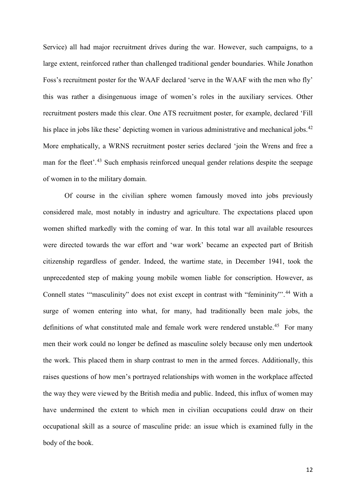Service) all had major recruitment drives during the war. However, such campaigns, to a large extent, reinforced rather than challenged traditional gender boundaries. While Jonathon Foss's recruitment poster for the WAAF declared 'serve in the WAAF with the men who fly' this was rather a disingenuous image of women's roles in the auxiliary services. Other recruitment posters made this clear. One ATS recruitment poster, for example, declared 'Fill his place in jobs like these' depicting women in various administrative and mechanical jobs.<sup>[42](#page-13-1)</sup> More emphatically, a WRNS recruitment poster series declared 'join the Wrens and free a man for the fleet'.<sup>[43](#page-13-2)</sup> Such emphasis reinforced unequal gender relations despite the seepage of women in to the military domain.

<span id="page-11-6"></span><span id="page-11-5"></span><span id="page-11-4"></span><span id="page-11-3"></span><span id="page-11-2"></span><span id="page-11-1"></span><span id="page-11-0"></span>Of course in the civilian sphere women famously moved into jobs previously considered male, most notably in industry and agriculture. The expectations placed upon women shifted markedly with the coming of war. In this total war all available resources were directed towards the war effort and 'war work' became an expected part of British citizenship regardless of gender. Indeed, the wartime state, in December 1941, took the unprecedented step of making young mobile women liable for conscription. However, as Connell states '"masculinity" does not exist except in contrast with "femininity"'.[44](#page-13-3) With a surge of women entering into what, for many, had traditionally been male jobs, the definitions of what constituted male and female work were rendered unstable.<sup>[45](#page-13-4)</sup> For many men their work could no longer be defined as masculine solely because only men undertook the work. This placed them in sharp contrast to men in the armed forces. Additionally, this raises questions of how men's portrayed relationships with women in the workplace affected the way they were viewed by the British media and public. Indeed, this influx of women may have undermined the extent to which men in civilian occupations could draw on their occupational skill as a source of masculine pride: an issue which is examined fully in the body of the book.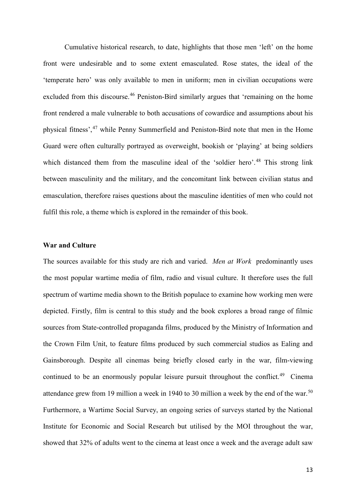Cumulative historical research, to date, highlights that those men 'left' on the home front were undesirable and to some extent emasculated. Rose states, the ideal of the 'temperate hero' was only available to men in uniform; men in civilian occupations were excluded from this discourse.<sup>[46](#page-14-0)</sup> Peniston-Bird similarly argues that 'remaining on the home front rendered a male vulnerable to both accusations of cowardice and assumptions about his physical fitness',[47](#page-14-1) while Penny Summerfield and Peniston-Bird note that men in the Home Guard were often culturally portrayed as overweight, bookish or 'playing' at being soldiers which distanced them from the masculine ideal of the 'soldier hero'.<sup>[48](#page-14-2)</sup> This strong link between masculinity and the military, and the concomitant link between civilian status and emasculation, therefore raises questions about the masculine identities of men who could not fulfil this role, a theme which is explored in the remainder of this book.

# **War and Culture**

<span id="page-12-4"></span><span id="page-12-3"></span><span id="page-12-2"></span><span id="page-12-1"></span><span id="page-12-0"></span>The sources available for this study are rich and varied. *Men at Work* predominantly uses the most popular wartime media of film, radio and visual culture. It therefore uses the full spectrum of wartime media shown to the British populace to examine how working men were depicted. Firstly, film is central to this study and the book explores a broad range of filmic sources from State-controlled propaganda films, produced by the Ministry of Information and the Crown Film Unit, to feature films produced by such commercial studios as Ealing and Gainsborough. Despite all cinemas being briefly closed early in the war, film-viewing continued to be an enormously popular leisure pursuit throughout the conflict.<sup>[49](#page-14-3)</sup> Cinema attendance grew from 19 million a week in 1940 to 30 million a week by the end of the war.<sup>[50](#page-14-4)</sup> Furthermore, a Wartime Social Survey, an ongoing series of surveys started by the National Institute for Economic and Social Research but utilised by the MOI throughout the war, showed that 32% of adults went to the cinema at least once a week and the average adult saw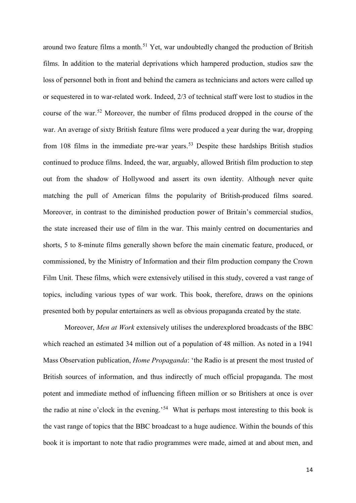<span id="page-13-4"></span><span id="page-13-3"></span><span id="page-13-2"></span><span id="page-13-1"></span>around two feature films a month.<sup>[51](#page-15-0)</sup> Yet, war undoubtedly changed the production of British films. In addition to the material deprivations which hampered production, studios saw the loss of personnel both in front and behind the camera as technicians and actors were called up or sequestered in to war-related work. Indeed, 2/3 of technical staff were lost to studios in the course of the war.[52](#page-15-1) Moreover, the number of films produced dropped in the course of the war. An average of sixty British feature films were produced a year during the war, dropping from 108 films in the immediate pre-war years.<sup>[53](#page-15-2)</sup> Despite these hardships British studios continued to produce films. Indeed, the war, arguably, allowed British film production to step out from the shadow of Hollywood and assert its own identity. Although never quite matching the pull of American films the popularity of British-produced films soared. Moreover, in contrast to the diminished production power of Britain's commercial studios, the state increased their use of film in the war. This mainly centred on documentaries and shorts, 5 to 8-minute films generally shown before the main cinematic feature, produced, or commissioned, by the Ministry of Information and their film production company the Crown Film Unit. These films, which were extensively utilised in this study, covered a vast range of topics, including various types of war work. This book, therefore, draws on the opinions presented both by popular entertainers as well as obvious propaganda created by the state.

<span id="page-13-0"></span>Moreover, *Men at Work* extensively utilises the underexplored broadcasts of the BBC which reached an estimated 34 million out of a population of 48 million. As noted in a 1941 Mass Observation publication, *Home Propaganda*: 'the Radio is at present the most trusted of British sources of information, and thus indirectly of much official propaganda. The most potent and immediate method of influencing fifteen million or so Britishers at once is over the radio at nine o'clock in the evening.'[54](#page-15-3) What is perhaps most interesting to this book is the vast range of topics that the BBC broadcast to a huge audience. Within the bounds of this book it is important to note that radio programmes were made, aimed at and about men, and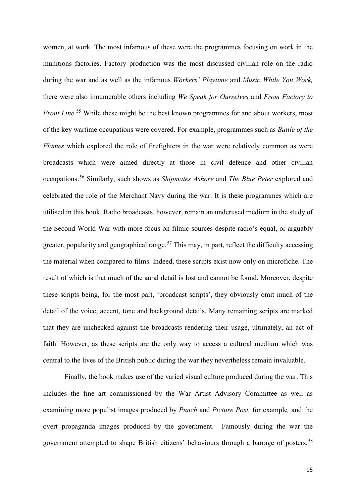<span id="page-14-3"></span><span id="page-14-2"></span><span id="page-14-1"></span><span id="page-14-0"></span>women, at work. The most infamous of these were the programmes focusing on work in the munitions factories. Factory production was the most discussed civilian role on the radio during the war and as well as the infamous *Workers' Playtime* and *Music While You Work,* there were also innumerable others including *We Speak for Ourselves* and *From Factory to Front Line*. [55](#page-16-0) While these might be the best known programmes for and about workers, most of the key wartime occupations were covered. For example, programmes such as *Battle of the Flames* which explored the role of firefighters in the war were relatively common as were broadcasts which were aimed directly at those in civil defence and other civilian occupations.[56](#page-16-1) Similarly, such shows as *Shipmates Ashore* and *The Blue Peter* explored and celebrated the role of the Merchant Navy during the war. It is these programmes which are utilised in this book. Radio broadcasts, however, remain an underused medium in the study of the Second World War with more focus on filmic sources despite radio's equal, or arguably greater, popularity and geographical range.<sup>[57](#page-16-2)</sup> This may, in part, reflect the difficulty accessing the material when compared to films. Indeed, these scripts exist now only on microfiche. The result of which is that much of the aural detail is lost and cannot be found. Moreover, despite these scripts being, for the most part, 'broadcast scripts', they obviously omit much of the detail of the voice, accent, tone and background details. Many remaining scripts are marked that they are unchecked against the broadcasts rendering their usage, ultimately, an act of faith. However, as these scripts are the only way to access a cultural medium which was central to the lives of the British public during the war they nevertheless remain invaluable.

<span id="page-14-4"></span>Finally, the book makes use of the varied visual culture produced during the war. This includes the fine art commissioned by the War Artist Advisory Committee as well as examining more populist images produced by *Punch* and *Picture Post,* for example*,* and the overt propaganda images produced by the government. Famously during the war the government attempted to shape British citizens' behaviours through a barrage of posters.<sup>[58](#page-16-3)</sup>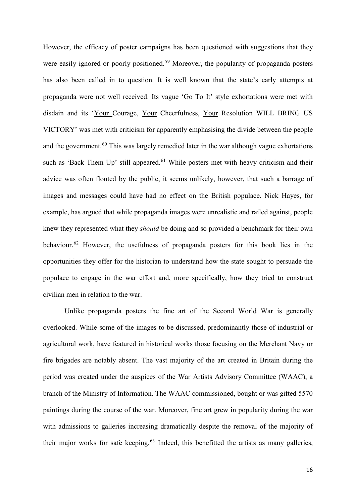However, the efficacy of poster campaigns has been questioned with suggestions that they were easily ignored or poorly positioned.<sup>[59](#page-17-0)</sup> Moreover, the popularity of propaganda posters has also been called in to question. It is well known that the state's early attempts at propaganda were not well received. Its vague 'Go To It' style exhortations were met with disdain and its 'Your Courage, Your Cheerfulness, Your Resolution WILL BRING US VICTORY' was met with criticism for apparently emphasising the divide between the people and the government.<sup>[60](#page-17-1)</sup> This was largely remedied later in the war although vague exhortations such as 'Back Them Up' still appeared.<sup>[61](#page-17-2)</sup> While posters met with heavy criticism and their advice was often flouted by the public, it seems unlikely, however, that such a barrage of images and messages could have had no effect on the British populace. Nick Hayes, for example, has argued that while propaganda images were unrealistic and railed against, people knew they represented what they *should* be doing and so provided a benchmark for their own behaviour.<sup>[62](#page-17-3)</sup> However, the usefulness of propaganda posters for this book lies in the opportunities they offer for the historian to understand how the state sought to persuade the populace to engage in the war effort and, more specifically, how they tried to construct civilian men in relation to the war.

<span id="page-15-3"></span><span id="page-15-2"></span><span id="page-15-1"></span><span id="page-15-0"></span>Unlike propaganda posters the fine art of the Second World War is generally overlooked. While some of the images to be discussed, predominantly those of industrial or agricultural work, have featured in historical works those focusing on the Merchant Navy or fire brigades are notably absent. The vast majority of the art created in Britain during the period was created under the auspices of the War Artists Advisory Committee (WAAC), a branch of the Ministry of Information. The WAAC commissioned, bought or was gifted 5570 paintings during the course of the war. Moreover, fine art grew in popularity during the war with admissions to galleries increasing dramatically despite the removal of the majority of their major works for safe keeping.<sup>[63](#page-17-4)</sup> Indeed, this benefitted the artists as many galleries,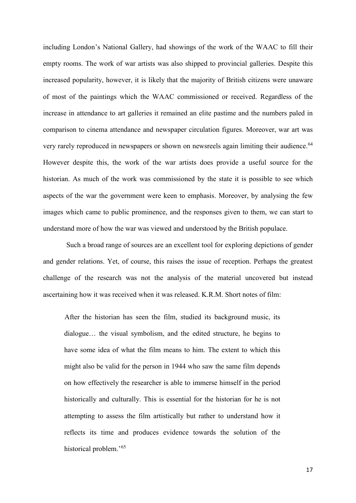including London's National Gallery, had showings of the work of the WAAC to fill their empty rooms. The work of war artists was also shipped to provincial galleries. Despite this increased popularity, however, it is likely that the majority of British citizens were unaware of most of the paintings which the WAAC commissioned or received. Regardless of the increase in attendance to art galleries it remained an elite pastime and the numbers paled in comparison to cinema attendance and newspaper circulation figures. Moreover, war art was very rarely reproduced in newspapers or shown on newsreels again limiting their audience.<sup>[64](#page-18-0)</sup> However despite this, the work of the war artists does provide a useful source for the historian. As much of the work was commissioned by the state it is possible to see which aspects of the war the government were keen to emphasis. Moreover, by analysing the few images which came to public prominence, and the responses given to them, we can start to understand more of how the war was viewed and understood by the British populace.

Such a broad range of sources are an excellent tool for exploring depictions of gender and gender relations. Yet, of course, this raises the issue of reception. Perhaps the greatest challenge of the research was not the analysis of the material uncovered but instead ascertaining how it was received when it was released. K.R.M. Short notes of film:

<span id="page-16-3"></span><span id="page-16-2"></span><span id="page-16-1"></span><span id="page-16-0"></span>After the historian has seen the film, studied its background music, its dialogue… the visual symbolism, and the edited structure, he begins to have some idea of what the film means to him. The extent to which this might also be valid for the person in 1944 who saw the same film depends on how effectively the researcher is able to immerse himself in the period historically and culturally. This is essential for the historian for he is not attempting to assess the film artistically but rather to understand how it reflects its time and produces evidence towards the solution of the historical problem.<sup>'[65](#page-18-1)</sup>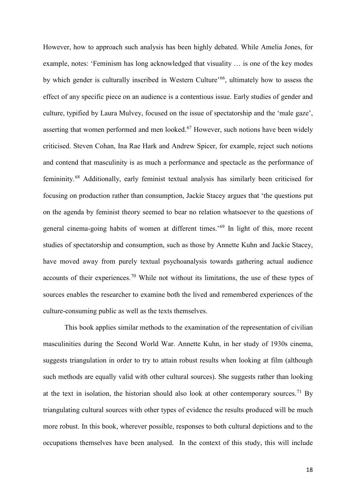<span id="page-17-4"></span><span id="page-17-3"></span><span id="page-17-2"></span>However, how to approach such analysis has been highly debated. While Amelia Jones, for example, notes: 'Feminism has long acknowledged that visuality … is one of the key modes by which gender is culturally inscribed in Western Culture<sup>5[66](#page-19-0)</sup>, ultimately how to assess the effect of any specific piece on an audience is a contentious issue. Early studies of gender and culture, typified by Laura Mulvey, focused on the issue of spectatorship and the 'male gaze', asserting that women performed and men looked.[67](#page-19-1) However, such notions have been widely criticised. Steven Cohan, Ina Rae Hark and Andrew Spicer, for example, reject such notions and contend that masculinity is as much a performance and spectacle as the performance of femininity.[68](#page-19-2) Additionally, early feminist textual analysis has similarly been criticised for focusing on production rather than consumption, Jackie Stacey argues that 'the questions put on the agenda by feminist theory seemed to bear no relation whatsoever to the questions of general cinema-going habits of women at different times.'[69](#page-19-3) In light of this, more recent studies of spectatorship and consumption, such as those by Annette Kuhn and Jackie Stacey, have moved away from purely textual psychoanalysis towards gathering actual audience accounts of their experiences.[70](#page-19-4) While not without its limitations, the use of these types of sources enables the researcher to examine both the lived and remembered experiences of the culture-consuming public as well as the texts themselves.

<span id="page-17-1"></span><span id="page-17-0"></span> This book applies similar methods to the examination of the representation of civilian masculinities during the Second World War. Annette Kuhn, in her study of 1930s cinema, suggests triangulation in order to try to attain robust results when looking at film (although such methods are equally valid with other cultural sources). She suggests rather than looking at the text in isolation, the historian should also look at other contemporary sources.<sup>71</sup> By triangulating cultural sources with other types of evidence the results produced will be much more robust. In this book, wherever possible, responses to both cultural depictions and to the occupations themselves have been analysed. In the context of this study, this will include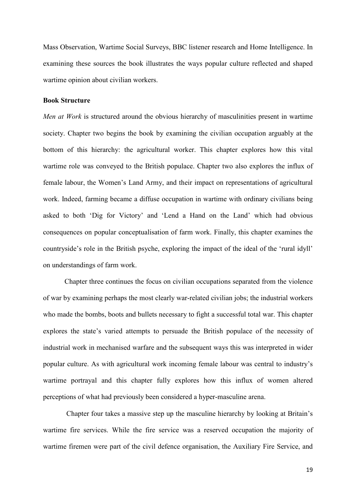Mass Observation, Wartime Social Surveys, BBC listener research and Home Intelligence. In examining these sources the book illustrates the ways popular culture reflected and shaped wartime opinion about civilian workers.

### **Book Structure**

<span id="page-18-1"></span><span id="page-18-0"></span>*Men at Work* is structured around the obvious hierarchy of masculinities present in wartime society. Chapter two begins the book by examining the civilian occupation arguably at the bottom of this hierarchy: the agricultural worker. This chapter explores how this vital wartime role was conveyed to the British populace. Chapter two also explores the influx of female labour, the Women's Land Army, and their impact on representations of agricultural work. Indeed, farming became a diffuse occupation in wartime with ordinary civilians being asked to both 'Dig for Victory' and 'Lend a Hand on the Land' which had obvious consequences on popular conceptualisation of farm work. Finally, this chapter examines the countryside's role in the British psyche, exploring the impact of the ideal of the 'rural idyll' on understandings of farm work.

Chapter three continues the focus on civilian occupations separated from the violence of war by examining perhaps the most clearly war-related civilian jobs; the industrial workers who made the bombs, boots and bullets necessary to fight a successful total war. This chapter explores the state's varied attempts to persuade the British populace of the necessity of industrial work in mechanised warfare and the subsequent ways this was interpreted in wider popular culture. As with agricultural work incoming female labour was central to industry's wartime portrayal and this chapter fully explores how this influx of women altered perceptions of what had previously been considered a hyper-masculine arena.

Chapter four takes a massive step up the masculine hierarchy by looking at Britain's wartime fire services. While the fire service was a reserved occupation the majority of wartime firemen were part of the civil defence organisation, the Auxiliary Fire Service, and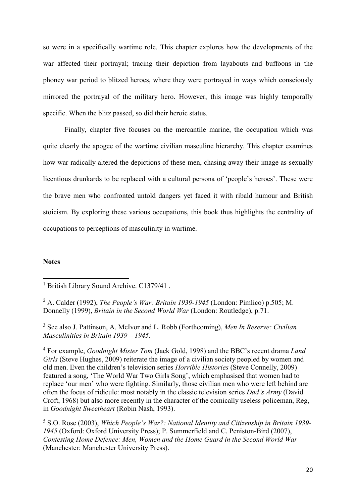so were in a specifically wartime role. This chapter explores how the developments of the war affected their portrayal; tracing their depiction from layabouts and buffoons in the phoney war period to blitzed heroes, where they were portrayed in ways which consciously mirrored the portrayal of the military hero. However, this image was highly temporally specific. When the blitz passed, so did their heroic status.

<span id="page-19-1"></span><span id="page-19-0"></span>Finally, chapter five focuses on the mercantile marine, the occupation which was quite clearly the apogee of the wartime civilian masculine hierarchy. This chapter examines how war radically altered the depictions of these men, chasing away their image as sexually licentious drunkards to be replaced with a cultural persona of 'people's heroes'. These were the brave men who confronted untold dangers yet faced it with ribald humour and British stoicism. By exploring these various occupations, this book thus highlights the centrality of occupations to perceptions of masculinity in wartime.

### <span id="page-19-4"></span><span id="page-19-3"></span><span id="page-19-2"></span>**Notes**

**.** 

<sup>4</sup> For example, *Goodnight Mister Tom* (Jack Gold, 1998) and the BBC's recent drama *Land Girls* (Steve Hughes, 2009) reiterate the image of a civilian society peopled by women and old men. Even the children's television series *Horrible Histories* (Steve Connelly, 2009) featured a song, 'The World War Two Girls Song', which emphasised that women had to replace 'our men' who were fighting. Similarly, those civilian men who were left behind are often the focus of ridicule: most notably in the classic television series *Dad's Army* (David Croft, 1968) but also more recently in the character of the comically useless policeman, Reg, in *Goodnight Sweetheart* (Robin Nash, 1993).

<span id="page-19-5"></span><sup>&</sup>lt;sup>1</sup> British Library Sound Archive. C1379/41.

<sup>2</sup> A. Calder (1992), *The People's War: Britain 1939-1945* (London: Pimlico) p.505; M. Donnelly (1999), *Britain in the Second World War* (London: Routledge), p.71.

<sup>3</sup> See also J. Pattinson, A. McIvor and L. Robb (Forthcoming), *Men In Reserve: Civilian Masculinities in Britain 1939 – 1945*.

<sup>5</sup> S.O. Rose (2003), *Which People's War?: National Identity and Citizenship in Britain 1939- 1945* (Oxford: Oxford University Press); P. Summerfield and C. Peniston-Bird (2007), *Contesting Home Defence: Men, Women and the Home Guard in the Second World War* (Manchester: Manchester University Press).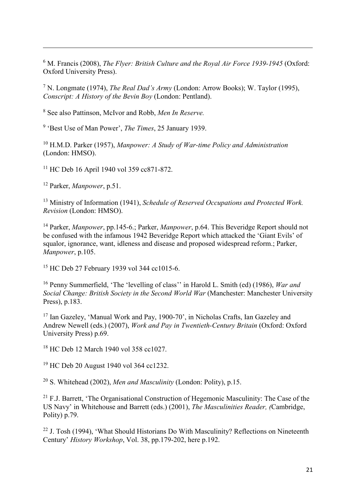<sup>6</sup> M. Francis (2008), *The Flyer: British Culture and the Royal Air Force 1939-1945* (Oxford: Oxford University Press).

<sup>7</sup> N. Longmate (1974), *The Real Dad's Army* (London: Arrow Books); W. Taylor (1995), *Conscript: A History of the Bevin Boy* (London: Pentland).

8 See also Pattinson, McIvor and Robb, *Men In Reserve.*

9 'Best Use of Man Power', *The Times*, 25 January 1939.

10 H.M.D. Parker (1957), *Manpower: A Study of War-time Policy and Administration* (London: HMSO).

<sup>11</sup> HC Deb 16 April 1940 vol 359 cc871-872.

<sup>12</sup> Parker, *Manpower*, p.51.

**.** 

<sup>13</sup> Ministry of Information (1941), *Schedule of Reserved Occupations and Protected Work. Revision* (London: HMSO).

<sup>14</sup> Parker, *Manpower*, pp.145-6.; Parker, *Manpower*, p.64. This Beveridge Report should not be confused with the infamous 1942 Beveridge Report which attacked the 'Giant Evils' of squalor, ignorance, want, idleness and disease and proposed widespread reform.; Parker, *Manpower*, p.105.

<sup>15</sup> HC Deb 27 February 1939 vol 344 cc1015-6.

<sup>16</sup> Penny Summerfield, 'The 'levelling of class'' in Harold L. Smith (ed) (1986), *War and Social Change: British Society in the Second World War* (Manchester: Manchester University Press), p.183.

<sup>17</sup> Ian Gazeley, 'Manual Work and Pay, 1900-70', in Nicholas Crafts, Ian Gazeley and Andrew Newell (eds.) (2007), *Work and Pay in Twentieth-Century Britain* (Oxford: Oxford University Press) p.69.

18 HC Deb 12 March 1940 vol 358 cc1027.

19 HC Deb 20 August 1940 vol 364 cc1232.

<sup>20</sup> S. Whitehead (2002), *Men and Masculinity* (London: Polity), p.15.

<sup>21</sup> F.J. Barrett, 'The Organisational Construction of Hegemonic Masculinity: The Case of the US Navy' in Whitehouse and Barrett (eds.) (2001), *The Masculinities Reader, (*Cambridge, Polity) p.79.

<sup>22</sup> J. Tosh (1994), 'What Should Historians Do With Masculinity? Reflections on Nineteenth Century' *History Workshop*, Vol. 38, pp.179-202, here p.192.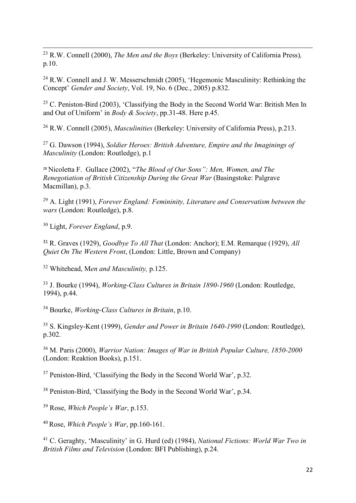**.** 23 R.W. Connell (2000), *The Men and the Boys* (Berkeley: University of California Press)*,*  p.10.

 $24$  R.W. Connell and J. W. Messerschmidt (2005), 'Hegemonic Masculinity: Rethinking the Concept' *Gender and Society*, Vol. 19, No. 6 (Dec., 2005) p.832.

<sup>25</sup> C. Peniston-Bird (2003), 'Classifying the Body in the Second World War: British Men In and Out of Uniform' in *Body & Society*, pp.31-48. Here p.45.

26 R.W. Connell (2005), *Masculinities* (Berkeley: University of California Press), p.213.

<sup>27</sup> G. Dawson (1994), *Soldier Heroes: British Adventure, Empire and the Imaginings of Masculinity* (London: Routledge), p.1

<sup>28</sup> Nicoletta F. Gullace (2002), "*The Blood of Our Sons": Men, Women, and The Renegotiation of British Citizenship During the Great War* (Basingstoke: Palgrave Macmillan), p.3.

<sup>29</sup> A. Light (1991), *Forever England: Femininity, Literature and Conservatism between the wars* (London: Routledge), p.8.

30 Light, *Forever England*, p.9.

<sup>31</sup> R. Graves (1929), *Goodbye To All That* (London: Anchor); E.M. Remarque (1929), *All Quiet On The Western Front*, (London: Little, Brown and Company)

32 Whitehead, M*en and Masculinity,* p.125.

33 J. Bourke (1994), *Working-Class Cultures in Britain 1890-1960* (London: Routledge, 1994), p.44.

34 Bourke, *Working-Class Cultures in Britain*, p.10.

35 S. Kingsley-Kent (1999), *Gender and Power in Britain 1640-1990* (London: Routledge), p.302.

<sup>36</sup> M. Paris (2000), *Warrior Nation: Images of War in British Popular Culture, 1850-2000* (London: Reaktion Books), p.151.

37 Peniston-Bird, 'Classifying the Body in the Second World War', p.32.

38 Peniston-Bird, 'Classifying the Body in the Second World War', p.34.

39 Rose, *Which People's War*, p.153.

<sup>40</sup> Rose, *Which People's War*, pp.160-161.

41 C. Geraghty, 'Masculinity' in G. Hurd (ed) (1984), *National Fictions: World War Two in British Films and Television* (London: BFI Publishing), p.24.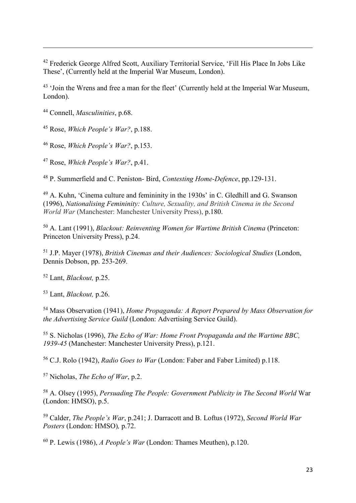<sup>42</sup> Frederick George Alfred Scott, Auxiliary Territorial Service, 'Fill His Place In Jobs Like These', (Currently held at the Imperial War Museum, London).

<sup>43</sup> 'Join the Wrens and free a man for the fleet' (Currently held at the Imperial War Museum, London).

44 Connell, *Masculinities*, p.68.

**.** 

45 Rose, *Which People's War?*, p.188.

46 Rose, *Which People's War?*, p.153.

47 Rose, *Which People's War?*, p.41.

48 P. Summerfield and C. Peniston- Bird, *Contesting Home-Defence*, pp.129-131.

49 A. Kuhn, 'Cinema culture and femininity in the 1930s' in C. Gledhill and G. Swanson (1996), *Nationalising Femininity: Culture, Sexuality, and British Cinema in the Second World War* (Manchester: Manchester University Press), p.180.

<sup>50</sup> A. Lant (1991), *Blackout: Reinventing Women for Wartime British Cinema* (Princeton: Princeton University Press), p.24.

<sup>51</sup> J.P. Mayer (1978), *British Cinemas and their Audiences: Sociological Studies* (London, Dennis Dobson, pp. 253-269.

52 Lant, *Blackout,* p.25.

53 Lant, *Blackout,* p.26.

<sup>54</sup> Mass Observation (1941), *Home Propaganda: A Report Prepared by Mass Observation for the Advertising Service Guild* (London: Advertising Service Guild).

55 S. Nicholas (1996), *The Echo of War: Home Front Propaganda and the Wartime BBC, 1939-45* (Manchester: Manchester University Press), p.121.

56 C.J. Rolo (1942), *Radio Goes to War* (London: Faber and Faber Limited) p.118.

57 Nicholas, *The Echo of War*, p.2.

<sup>58</sup> A. Olsey (1995), *Persuading The People: Government Publicity in The Second World* War (London: HMSO), p.5.

<sup>59</sup> Calder, *The People's War*, p.241; J. Darracott and B. Loftus (1972), *Second World War Posters* (London: HMSO)*,* p.72.

<sup>60</sup> P. Lewis (1986), *A People's War* (London: Thames Meuthen), p.120.